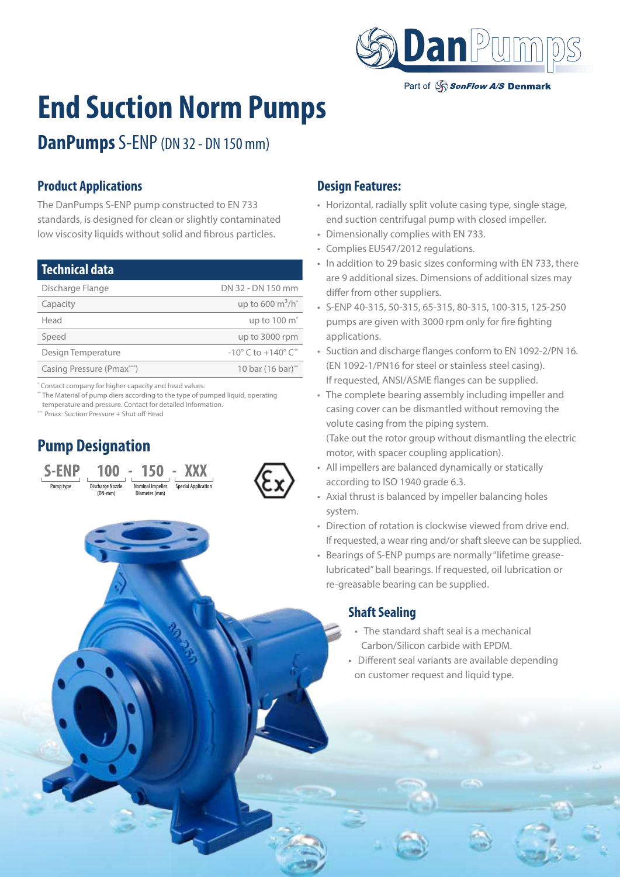

Part of SonFlow A/S Denmark

# **End Suction Norm Pumps**

**DanPumps** S-ENP (DN 32 - DN 150 mm)

#### **Product Applications**

The DanPumps S-ENP pump constructed to EN 733 standards, is designed for clean or slightly contaminated low viscosity liquids without solid and fibrous particles.

| DN 32 - DN 150 mm                                 |
|---------------------------------------------------|
| up to 600 $m^3/h^*$                               |
| up to 100 m <sup>*</sup>                          |
| up to 3000 rpm                                    |
| $-10^{\circ}$ C to $+140^{\circ}$ C <sup>**</sup> |
| 10 bar (16 bar)**                                 |
|                                                   |

\* Contact company for higher capacity and head values.

\*\* The Material of pump diers according to the type of pumped liquid, operating temperature and pressure. Contact for detailed information.

\*\*\* Pmax: Suction Pressure + Shut off Head

# **Pump Designation**





#### **Design Features:**

- Horizontal, radially split volute casing type, single stage, end suction centrifugal pump with closed impeller.
- Dimensionally complies with EN 733.
- Complies EU547/2012 regulations.
- In addition to 29 basic sizes conforming with EN 733, there are 9 additional sizes. Dimensions of additional sizes may differ from other suppliers.
- S-ENP 40-315, 50-315, 65-315, 80-315, 100-315, 125-250 pumps are given with 3000 rpm only for fire fighting applications.
- Suction and discharge flanges conform to EN 1092-2/PN 16. (EN 1092-1/PN16 for steel or stainless steel casing). If requested, ANSI/ASME flanges can be supplied.
- The complete bearing assembly including impeller and casing cover can be dismantled without removing the volute casing from the piping system. (Take out the rotor group without dismantling the electric motor, with spacer coupling application).
- All impellers are balanced dynamically or statically according to ISO 1940 grade 6.3.
- Axial thrust is balanced by impeller balancing holes system.
- Direction of rotation is clockwise viewed from drive end. If requested, a wear ring and/or shaft sleeve can be supplied.
- Bearings of S-ENP pumps are normally "lifetime greaselubricated" ball bearings. If requested, oil lubrication or re-greasable bearing can be supplied.

#### **Shaft Sealing**

- The standard shaft seal is a mechanical Carbon/Silicon carbide with EPDM.
- Different seal variants are available depending on customer request and liquid type.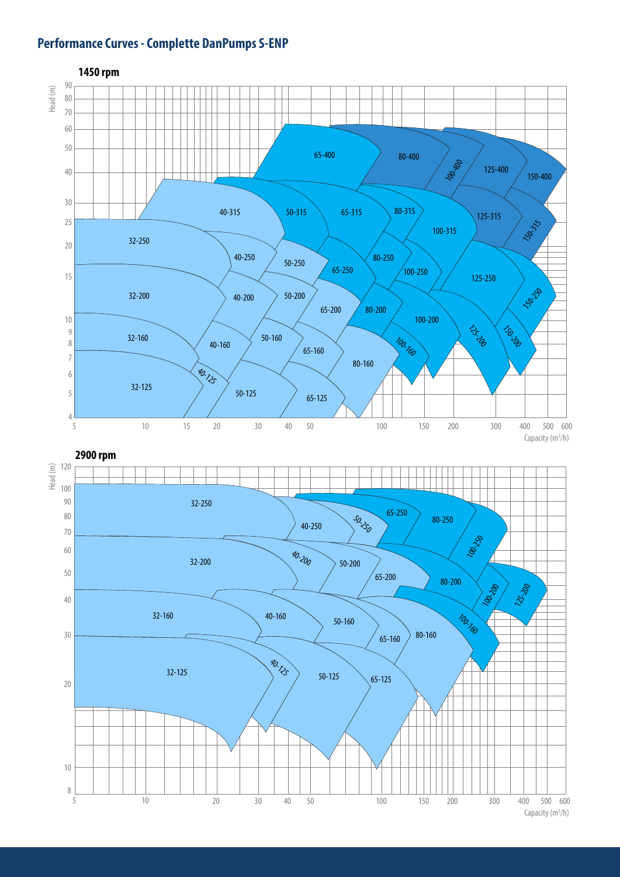#### **Performance Curves - Complette DanPumps S-ENP**

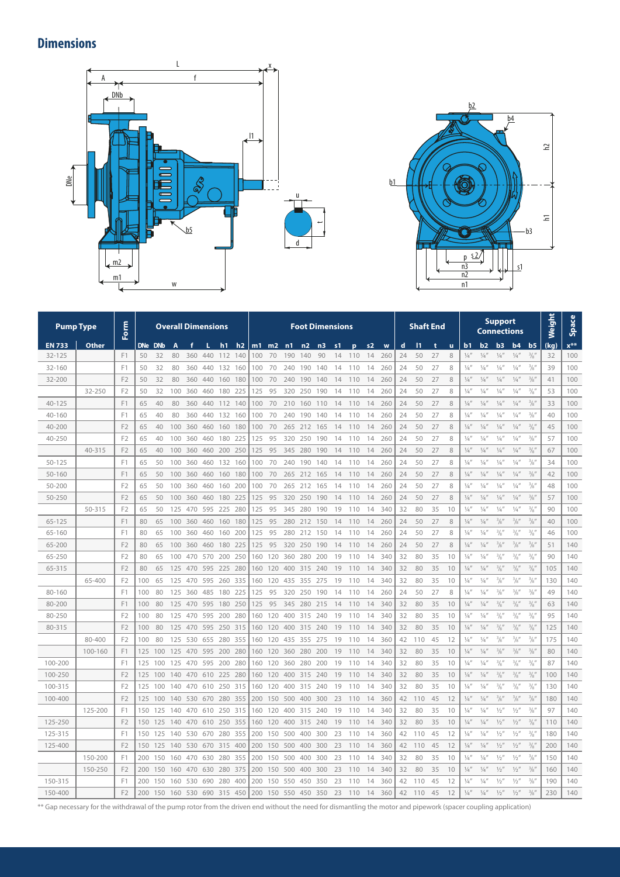# **Dimensions**





|               | <b>Pump Type</b> | Form           |     |            | <b>Overall Dimensions</b> |     |     |                |     |         |     |     | <b>Foot Dimensions</b> |     |    |     |                | <b>Shaft End</b> |    |     |    | <b>Support</b><br><b>Connections</b> |               |               |                 |                 | Weight            | <b>Space</b> |          |
|---------------|------------------|----------------|-----|------------|---------------------------|-----|-----|----------------|-----|---------|-----|-----|------------------------|-----|----|-----|----------------|------------------|----|-----|----|--------------------------------------|---------------|---------------|-----------------|-----------------|-------------------|--------------|----------|
| <b>EN 733</b> | Other            |                | DNe | <b>DNb</b> | A                         |     |     | h <sub>1</sub> | h2  | $m1$ m2 |     | n1  | n2                     | n3  | s1 | p   | s <sub>2</sub> | W                | d  | 11  | t  | u                                    | b1            | b2            | b3              | b <sub>4</sub>  | b <sub>5</sub>    | (kg)         | $x^{**}$ |
| 32-125        |                  | F <sub>1</sub> | 50  | 32         | 80                        | 360 | 440 | 112            | 140 | 100     | 70  | 190 | 140                    | 90  | 14 | 110 | 14             | 260              | 24 | 50  | 27 | 8                                    | $\frac{1}{4}$ | $\frac{1}{4}$ | $\frac{1}{4}$   | $\frac{1}{4}$   | $^{3}/_{8}$       | 32           | 100      |
| 32-160        |                  | F1             | 50  | 32         | 80                        | 360 | 440 | 132            | 160 | 100     | 70  | 240 | 190                    | 140 | 14 | 110 | 14             | 260              | 24 | 50  | 27 | 8                                    | $\frac{1}{4}$ | $\frac{1}{4}$ | $\frac{1}{4}$   | $\frac{1}{4}$   | $^{3}/_{8}$       | 39           | 100      |
| 32-200        |                  | F <sub>2</sub> | 50  | 32         | 80                        | 360 | 440 | 160 180        |     | 100     | 70  | 240 | 190                    | 140 | 14 | 110 | 14             | 260              | 24 | 50  | 27 | 8                                    | $\frac{1}{4}$ | $\frac{1}{4}$ | $\frac{1}{4}$   | $\frac{1}{4}$   | $^{3}/_{8}$       | 41           | 100      |
|               | 32-250           | F <sub>2</sub> | 50  | 32         | 100                       | 360 | 460 | 180            | 225 | 125     | 95  | 320 | 250                    | 190 | 14 | 110 | 14             | 260              | 24 | 50  | 27 | 8                                    | $\frac{1}{4}$ | $\frac{1}{4}$ | $\frac{1}{4}$   | $\frac{1}{4}$   | $^{3}/_{8}$ "     | 53           | 100      |
| 40-125        |                  | F <sub>1</sub> | 65  | 40         | 80                        | 360 | 440 | 112 140        |     | 100     | 70  | 210 | 160                    | 110 | 14 | 110 | 14             | 260              | 24 | 50  | 27 | 8                                    | $\frac{1}{4}$ | $\frac{1}{4}$ | $\frac{1}{4}$   | $\frac{1}{4}$   | $^{3}/_{8}$       | 33           | 100      |
| 40-160        |                  | F1             | 65  | 40         | 80                        | 360 | 440 | 132            | 160 | 100     | 70  | 240 | 190                    | 140 | 14 | 110 | 14             | 260              | 24 | 50  | 27 | 8                                    | $\frac{1}{4}$ | $\frac{1}{4}$ | $\frac{1}{4}$   | $\frac{1}{4}$   | $^{3}/_{8}''$     | 40           | 100      |
| 40-200        |                  | F <sub>2</sub> | 65  | 40         | 100                       | 360 | 460 | 160            | 180 | 100     | 70  | 265 | 212                    | 165 | 14 | 110 | 14             | 260              | 24 | 50  | 27 | 8                                    | $\frac{1}{4}$ | $\frac{1}{4}$ | $\frac{1}{4}$   | $\frac{1}{4}$   | $^{3}/_{8}$ "     | 45           | 100      |
| 40-250        |                  | F <sub>2</sub> | 65  | 40         | 100                       | 360 | 460 | 180            | 225 | 125     | 95  | 320 | 250                    | 190 | 14 | 110 | 14             | 260              | 24 | 50  | 27 | 8                                    | $\frac{1}{4}$ | $\frac{1}{4}$ | $\frac{1}{4}$   | $\frac{1}{4}$   | $^{3}/_{8}$       | 57           | 100      |
|               | 40-315           | F <sub>2</sub> | 65  | 40         | 100                       | 360 | 460 | 200            | 250 | 125     | 95  | 345 | 280                    | 190 | 14 | 110 | 14             | 260              | 24 | 50  | 27 | 8                                    | $\frac{1}{4}$ | $\frac{1}{4}$ | $\frac{1}{4}$   | $\frac{1}{4}$   | $^{3}/_{8}$ "     | 67           | 100      |
| $50 - 125$    |                  | F1             | 65  | 50         | 100                       | 360 | 460 | 132            | 160 | 100     | 70  | 240 | 190                    | 140 | 14 | 110 | 14             | 260              | 24 | 50  | 27 | 8                                    | $\frac{1}{4}$ | $\frac{1}{4}$ | $\frac{1}{4}$   | $\frac{1}{4}$   | $\frac{3}{8}$     | 34           | 100      |
| $50 - 160$    |                  | F1             | 65  | 50         | 100                       | 360 | 460 | 160            | 180 | 100     | 70  | 265 | 212                    | 165 | 14 | 110 | 14             | 260              | 24 | 50  | 27 | 8                                    | $\frac{1}{4}$ | $\frac{1}{4}$ | $\frac{1}{4}$   | $\frac{1}{4}$   | $\frac{3}{8}$     | 42           | 100      |
| 50-200        |                  | F <sub>2</sub> | 65  | 50         | 100                       | 360 | 460 | 160            | 200 | 100     | 70  | 265 | 212                    | 165 | 14 | 110 | 14             | 260              | 24 | 50  | 27 | 8                                    | $\frac{1}{4}$ | $\frac{1}{4}$ | $\frac{1}{4}$   | $\frac{1}{4}$   | $^{3}/_{8}$ "     | 48           | 100      |
| 50-250        |                  | F <sub>2</sub> | 65  | 50         | 100                       | 360 | 460 | 180            | 225 | 125     | 95  | 320 | 250                    | 190 | 14 | 110 | 14             | 260              | 24 | 50  | 27 | 8                                    | $\frac{1}{4}$ | $\frac{1}{4}$ | $\frac{1}{4}$   | $\frac{1}{4}$   | $^{3}/_{8}$       | 57           | 100      |
|               | 50-315           | F <sub>2</sub> | 65  | 50         | 125                       | 470 | 595 | 225            | 280 | 125     | 95  | 345 | 280                    | 190 | 19 | 110 | 14             | 340              | 32 | 80  | 35 | 10                                   | $\frac{1}{4}$ | $\frac{1}{4}$ | $\frac{1}{4}$   | $\frac{1}{4}$   | $^{3}/_{8}$       | 90           | 100      |
| 65-125        |                  | F <sub>1</sub> | 80  | 65         | 100                       | 360 | 460 | 160            | 180 | 125     | 95  | 280 | 212                    | 150 | 14 | 110 | 14             | 260              | 24 | 50  | 27 | 8                                    | $\frac{1}{4}$ | $\frac{1}{4}$ | $\frac{3}{8}$ " | $^{3}/_{8}$ "   | $\frac{3}{8}$ "   | 40           | 100      |
| 65-160        |                  | F1             | 80  | 65         | 100                       | 360 | 460 | 160            | 200 | 125     | 95  | 280 | 212                    | 150 | 14 | 110 | 14             | 260              | 24 | 50  | 27 | 8                                    | $\frac{1}{4}$ | $\frac{1}{4}$ | $^{3}/_{8}$     | $\frac{3}{8}$ " | $\frac{3}{8}$     | 46           | 100      |
| 65-200        |                  | F <sub>2</sub> | 80  | 65         | 100                       | 360 | 460 | 180            | 225 | 125     | 95  | 320 | 250                    | 190 | 14 | 110 | 14             | 260              | 24 | 50  | 27 | 8                                    | $\frac{1}{4}$ | $\frac{1}{4}$ | $^{3}/_{8}$ "   | $^{3}/_{8}$ "   | $^{3}/_{8}$       | 51           | 140      |
| 65-250        |                  | F <sub>2</sub> | 80  | 65         | 100                       | 470 | 570 | 200            | 250 | 160     | 120 | 360 | 280                    | 200 | 19 | 110 | 14             | 340              | 32 | 80  | 35 | 10                                   | $\frac{1}{4}$ | $\frac{1}{4}$ | $^{3}/_{8}$     | $\frac{3}{8}$   | $\frac{3}{8}$     | 90           | 140      |
| 65-315        |                  | F <sub>2</sub> | 80  | 65         | 125                       | 470 | 595 | 225            | 280 | 160     | 120 | 400 | 315                    | 240 | 19 | 110 | 14             | 340              | 32 | 80  | 35 | 10                                   | $\frac{1}{4}$ | $\frac{1}{4}$ | $\frac{3}{8}$ " | $^{3}/_{8}$ "   | $^{3}/_{8}$ "     | 105          | 140      |
|               | 65-400           | F <sub>2</sub> | 100 | 65         | 125                       | 470 | 595 | 260            | 335 | 160     | 120 | 435 | 355                    | 275 | 19 | 110 | 14             | 340              | 32 | 80  | 35 | 10                                   | $\frac{1}{4}$ | $\frac{1}{4}$ | $\frac{3}{8}$ " | $^{3}/_{8}$ "   | $^{3}/_{8}$ "     | 130          | 140      |
| 80-160        |                  | F <sub>1</sub> | 100 | 80         | 125                       | 360 | 485 | 180            | 225 | 125     | 95  | 320 | 250                    | 190 | 14 | 110 | 14             | 260              | 24 | 50  | 27 | 8                                    | $\frac{1}{4}$ | $\frac{1}{4}$ | $^{3}/_{8}$ "   | $^{3}/_{8}$ "   | $^{3}/_{8}$       | 49           | 140      |
| 80-200        |                  | F <sub>1</sub> | 100 | 80         | 125                       | 470 | 595 | 180            | 250 | 125     | 95  | 345 | 280                    | 215 | 14 | 110 | 14             | 340              | 32 | 80  | 35 | 10                                   | $\frac{1}{4}$ | $\frac{1}{4}$ | $^{3}/_{8}$     | $\frac{3}{8}$ " | $^{3}/_{8}$       | 63           | 140      |
| 80-250        |                  | F <sub>2</sub> | 100 | 80         | 125                       | 470 | 595 | 200            | 280 | 160     | 120 | 400 | 315                    | 240 | 19 | 110 | 14             | 340              | 32 | 80  | 35 | 10                                   | $\frac{1}{4}$ | $\frac{1}{4}$ | $^{3}/_{8}$ "   | $\frac{3}{8}$ " | $^{3}/_{8}$ "     | 95           | 140      |
| 80-315        |                  | F <sub>2</sub> | 100 | 80         | 125                       | 470 | 595 | 250 315        |     | 160     | 120 | 400 | 315                    | 240 | 19 | 110 | 14             | 340              | 32 | 80  | 35 | 10                                   | $\frac{1}{4}$ | $\frac{1}{4}$ | $^{3}/_{8}$ "   | $^{3}/_{8}$ "   | $^{3}/_{8}$ "     | 125          | 140      |
|               | 80-400           | F <sub>2</sub> | 100 | 80         | 125                       | 530 | 655 | 280            | 355 | 160     | 120 | 435 | 355                    | 275 | 19 | 110 | 14             | 360              | 42 | 110 | 45 | 12                                   | $\frac{1}{4}$ | $\frac{1}{4}$ | $^{3}/_{8}$ "   | $^{3}/_{8}$ "   | $^{3}/_{8}$ "     | 175          | 140      |
|               | 100-160          | F1             | 125 | 100        | 125                       | 470 | 595 | 200            | 280 | 160     | 120 | 360 | 280                    | 200 | 19 | 110 | 14             | 340              | 32 | 80  | 35 | 10                                   | $\frac{1}{4}$ | $\frac{1}{4}$ | $^{3}/_{8}$     | $^{3}/_{8}$ "   | $^{3}/_{8}$       | 80           | 140      |
| 100-200       |                  | F <sub>1</sub> | 125 | 100        | 125                       | 470 | 595 | 200            | 280 | 160     | 120 | 360 | 280                    | 200 | 19 | 110 | 14             | 340              | 32 | 80  | 35 | 10                                   | $\frac{1}{4}$ | $\frac{1}{4}$ | $^{3}/_{8}$     | $^{3}/_{8}$ "   | $^{3}/_{8}$ "     | 87           | 140      |
| 100-250       |                  | F <sub>2</sub> | 125 | 100        | 140                       | 470 | 610 | 225            | 280 | 160     | 120 | 400 | 315                    | 240 | 19 | 110 | 14             | 340              | 32 | 80  | 35 | 10                                   | $\frac{1}{4}$ | $\frac{1}{4}$ | $^{3}/_{8}$ "   | $^{3}/_{8}$ "   | $^{3}/_{8}$ "     | 100          | 140      |
| 100-315       |                  | F <sub>2</sub> | 125 | 100        | 140                       | 470 | 610 | 250            | 315 | 160     | 120 | 400 | 315                    | 240 | 19 | 110 | 14             | 340              | 32 | 80  | 35 | 10                                   | $\frac{1}{4}$ | $\frac{1}{4}$ | $\frac{3}{8}$   | $^{3}/_{8}$ "   | $^{3}/_{8}$       | 130          | 140      |
| 100-400       |                  | F <sub>2</sub> | 125 | 100        | 140                       | 530 | 670 | 280            | 355 | 200     | 150 | 500 | 400                    | 300 | 23 | 110 | 14             | 360              | 42 | 110 | 45 | 12                                   | $\frac{1}{4}$ | $\frac{1}{4}$ | $^{3}/_{8}$ "   | $^{3}/_{8}$ "   | $^{3}/_{8}$       | 180          | 140      |
|               | 125-200          | F1             | 150 | 125        | 140                       | 470 | 610 | 250            | 315 | 160     | 120 | 400 | 315                    | 240 | 19 | 110 | 14             | 340              | 32 | 80  | 35 | 10                                   | $\frac{1}{4}$ | $\frac{1}{4}$ | $\frac{1}{2}$   | $\frac{1}{2}$   | $\frac{3}{8}$ "   | 97           | 140      |
| 125-250       |                  | F <sub>2</sub> | 150 | 125        | 140                       | 470 | 610 | 250 355        |     | 160     | 120 | 400 | 315                    | 240 | 19 | 110 | 14             | 340              | 32 | 80  | 35 | 10                                   | $\frac{1}{4}$ | $\frac{1}{4}$ | $\frac{1}{2}$   | $\frac{1}{2}$   | $^{3}/_{8}$ "     | 110          | 140      |
| 125-315       |                  | F1             | 150 | 125        | 140                       | 530 | 670 | 280            | 355 | 200     | 150 | 500 | 400                    | 300 | 23 | 110 | 14             | 360              | 42 | 110 | 45 | 12                                   | $\frac{1}{4}$ | $\frac{1}{4}$ | $\frac{1}{2}$   | $\frac{1}{2}$   | $^{3}/_{8}$ "     | 180          | 140      |
| 125-400       |                  | F <sub>2</sub> | 150 | 125        | 140                       | 530 | 670 | 315            | 400 | 200     | 150 | 500 | 400                    | 300 | 23 | 110 | 14             | 360              | 42 | 110 | 45 | 12                                   | $\frac{1}{4}$ | $\frac{1}{4}$ | $\frac{1}{2}$   | $\frac{1}{2}$   | $^{3}/_{8}$       | 200          | 140      |
|               | 150-200          | F <sub>1</sub> | 200 | 150        | 160                       | 470 | 630 | 280            | 355 | 200     | 150 | 500 | 400                    | 300 | 23 | 110 | 14             | 340              | 32 | 80  | 35 | 10                                   | $\frac{1}{4}$ | $\frac{1}{4}$ | $\frac{1}{2}$   | $\frac{1}{2}$   | $^{3}/_{8}$       | 150          | 140      |
|               | 150-250          | F <sub>2</sub> | 200 | 150        | 160                       | 470 | 630 | 280 375        |     | 200     | 150 | 500 | 400                    | 300 | 23 | 110 | 14             | 340              | 32 | 80  | 35 | 10                                   | $\frac{1}{4}$ | $\frac{1}{4}$ | $\frac{1}{2}$   | $\frac{1}{2}$   | $\frac{3}{8}$     | 160          | 140      |
| 150-315       |                  | F1             | 200 | 150        | 160                       | 530 | 690 | 280            | 400 | 200     | 150 | 550 | 450                    | 350 | 23 | 110 | 14             | 360              | 42 | 110 | 45 | 12                                   | $\frac{1}{4}$ | $\frac{1}{4}$ | $\frac{1}{2}$   | $\frac{1}{2}$   | 3/ <sub>8</sub> " | 190          | 140      |
| 150-400       |                  | F <sub>2</sub> | 200 | 150        | 160                       | 530 | 690 | 315            | 450 | 200     | 150 | 550 | 450                    | 350 | 23 | 110 | 14             | 360              | 42 | 110 | 45 | 12                                   | $\frac{1}{4}$ | $\frac{1}{4}$ | $\frac{1}{2}$   | $\frac{1}{2}$   | $^{3}/_{8}$       | 230          | 140      |

\*\* Gap necessary for the withdrawal of the pump rotor from the driven end without the need for dismantling the motor and pipework (spacer coupling application)